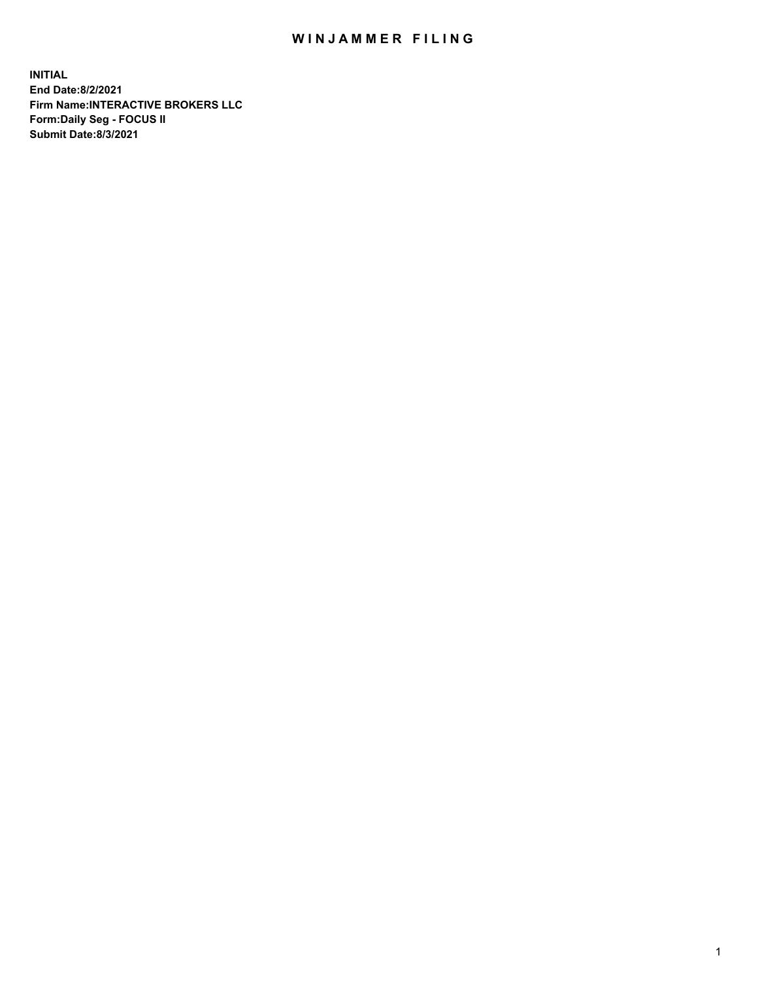## WIN JAMMER FILING

**INITIAL End Date:8/2/2021 Firm Name:INTERACTIVE BROKERS LLC Form:Daily Seg - FOCUS II Submit Date:8/3/2021**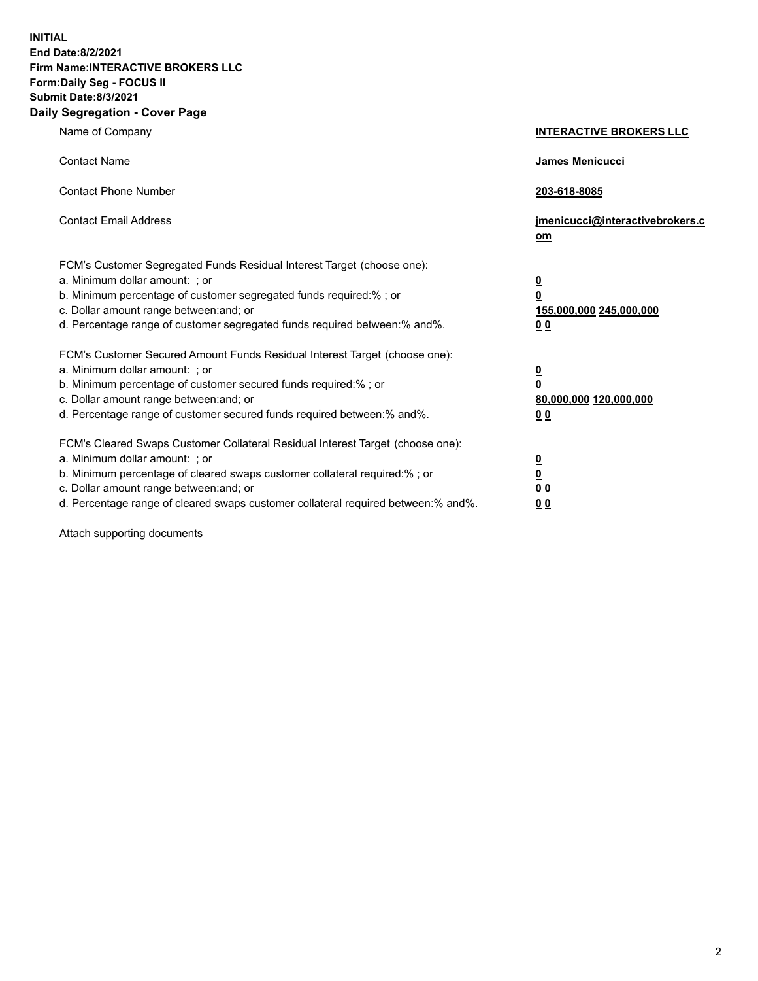**INITIAL End Date:8/2/2021 Firm Name:INTERACTIVE BROKERS LLC Form:Daily Seg - FOCUS II Submit Date:8/3/2021 Daily Segregation - Cover Page**

| Name of Company                                                                                                                                                                                                                                                                                                                | <b>INTERACTIVE BROKERS LLC</b>                                                                  |
|--------------------------------------------------------------------------------------------------------------------------------------------------------------------------------------------------------------------------------------------------------------------------------------------------------------------------------|-------------------------------------------------------------------------------------------------|
| <b>Contact Name</b>                                                                                                                                                                                                                                                                                                            | <b>James Menicucci</b>                                                                          |
| <b>Contact Phone Number</b>                                                                                                                                                                                                                                                                                                    | 203-618-8085                                                                                    |
| <b>Contact Email Address</b>                                                                                                                                                                                                                                                                                                   | jmenicucci@interactivebrokers.c<br>om                                                           |
| FCM's Customer Segregated Funds Residual Interest Target (choose one):<br>a. Minimum dollar amount: ; or<br>b. Minimum percentage of customer segregated funds required:%; or<br>c. Dollar amount range between: and; or<br>d. Percentage range of customer segregated funds required between:% and%.                          | $\overline{\mathbf{0}}$<br>$\overline{\mathbf{0}}$<br>155,000,000 245,000,000<br>0 <sub>0</sub> |
| FCM's Customer Secured Amount Funds Residual Interest Target (choose one):<br>a. Minimum dollar amount: ; or<br>b. Minimum percentage of customer secured funds required:%; or<br>c. Dollar amount range between: and; or<br>d. Percentage range of customer secured funds required between:% and%.                            | $\overline{\mathbf{0}}$<br>$\overline{\mathbf{0}}$<br>80,000,000 120,000,000<br>0 <sub>0</sub>  |
| FCM's Cleared Swaps Customer Collateral Residual Interest Target (choose one):<br>a. Minimum dollar amount: ; or<br>b. Minimum percentage of cleared swaps customer collateral required:% ; or<br>c. Dollar amount range between: and; or<br>d. Percentage range of cleared swaps customer collateral required between:% and%. | $\overline{\mathbf{0}}$<br>$\overline{\mathbf{0}}$<br>0 <sub>0</sub><br>0 <sub>0</sub>          |

Attach supporting documents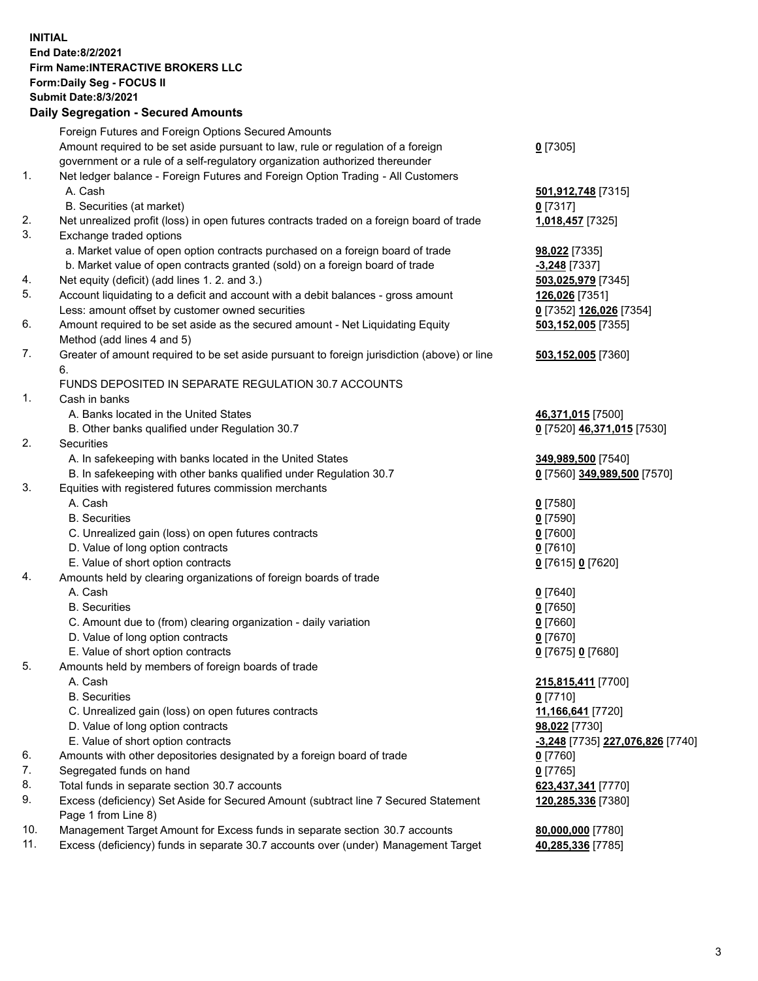## **INITIAL End Date:8/2/2021 Firm Name:INTERACTIVE BROKERS LLC Form:Daily Seg - FOCUS II Submit Date:8/3/2021 Daily Segregation - Secured Amounts**

|                | Foreign Futures and Foreign Options Secured Amounts                                         |                                               |
|----------------|---------------------------------------------------------------------------------------------|-----------------------------------------------|
|                | Amount required to be set aside pursuant to law, rule or regulation of a foreign            | $0$ [7305]                                    |
|                | government or a rule of a self-regulatory organization authorized thereunder                |                                               |
| $\mathbf{1}$ . | Net ledger balance - Foreign Futures and Foreign Option Trading - All Customers             |                                               |
|                | A. Cash                                                                                     | 501,912,748 [7315]                            |
|                | B. Securities (at market)                                                                   | $0$ [7317]                                    |
| 2.             | Net unrealized profit (loss) in open futures contracts traded on a foreign board of trade   | 1,018,457 [7325]                              |
| 3.             | Exchange traded options                                                                     |                                               |
|                | a. Market value of open option contracts purchased on a foreign board of trade              | 98,022 [7335]                                 |
|                | b. Market value of open contracts granted (sold) on a foreign board of trade                | -3,248 [7337]                                 |
| 4.             | Net equity (deficit) (add lines 1. 2. and 3.)                                               | 503,025,979 [7345]                            |
| 5.             | Account liquidating to a deficit and account with a debit balances - gross amount           | 126,026 [7351]                                |
|                | Less: amount offset by customer owned securities                                            | 0 [7352] 126,026 [7354]                       |
| 6.             | Amount required to be set aside as the secured amount - Net Liquidating Equity              | 503,152,005 [7355]                            |
|                | Method (add lines 4 and 5)                                                                  |                                               |
| 7.             | Greater of amount required to be set aside pursuant to foreign jurisdiction (above) or line | 503,152,005 [7360]                            |
|                | 6.<br>FUNDS DEPOSITED IN SEPARATE REGULATION 30.7 ACCOUNTS                                  |                                               |
| 1.             | Cash in banks                                                                               |                                               |
|                | A. Banks located in the United States                                                       | 46,371,015 [7500]                             |
|                | B. Other banks qualified under Regulation 30.7                                              | 0 [7520] 46,371,015 [7530]                    |
| 2.             | Securities                                                                                  |                                               |
|                | A. In safekeeping with banks located in the United States                                   | 349,989,500 [7540]                            |
|                | B. In safekeeping with other banks qualified under Regulation 30.7                          | 0 [7560] 349,989,500 [7570]                   |
| 3.             | Equities with registered futures commission merchants                                       |                                               |
|                | A. Cash                                                                                     | $0$ [7580]                                    |
|                | <b>B.</b> Securities                                                                        | $0$ [7590]                                    |
|                | C. Unrealized gain (loss) on open futures contracts                                         | $0$ [7600]                                    |
|                | D. Value of long option contracts                                                           | $0$ [7610]                                    |
|                | E. Value of short option contracts                                                          | 0 [7615] 0 [7620]                             |
| 4.             | Amounts held by clearing organizations of foreign boards of trade                           |                                               |
|                | A. Cash                                                                                     | $Q$ [7640]                                    |
|                | <b>B.</b> Securities                                                                        | $0$ [7650]                                    |
|                | C. Amount due to (from) clearing organization - daily variation                             | $0$ [7660]                                    |
|                | D. Value of long option contracts                                                           | $0$ [7670]                                    |
|                | E. Value of short option contracts                                                          | 0 [7675] 0 [7680]                             |
| 5.             | Amounts held by members of foreign boards of trade                                          |                                               |
|                | A. Cash                                                                                     | 215,815,411 [7700]                            |
|                | <b>B.</b> Securities                                                                        | $0$ [7710]                                    |
|                | C. Unrealized gain (loss) on open futures contracts                                         | 11,166,641 [7720]                             |
|                | D. Value of long option contracts                                                           | 98,022 [7730]                                 |
|                | E. Value of short option contracts                                                          | <mark>-3,248</mark> [7735] 227,076,826 [7740] |
| 6.             | Amounts with other depositories designated by a foreign board of trade                      | $0$ [7760]                                    |
| 7.             | Segregated funds on hand                                                                    | $0$ [7765]                                    |
| 8.             | Total funds in separate section 30.7 accounts                                               | 623,437,341 [7770]                            |
| 9.             | Excess (deficiency) Set Aside for Secured Amount (subtract line 7 Secured Statement         | 120,285,336 [7380]                            |
|                | Page 1 from Line 8)                                                                         |                                               |
| 10.            | Management Target Amount for Excess funds in separate section 30.7 accounts                 | 80,000,000 [7780]                             |
| 11.            | Excess (deficiency) funds in separate 30.7 accounts over (under) Management Target          | 40,285,336 [7785]                             |
|                |                                                                                             |                                               |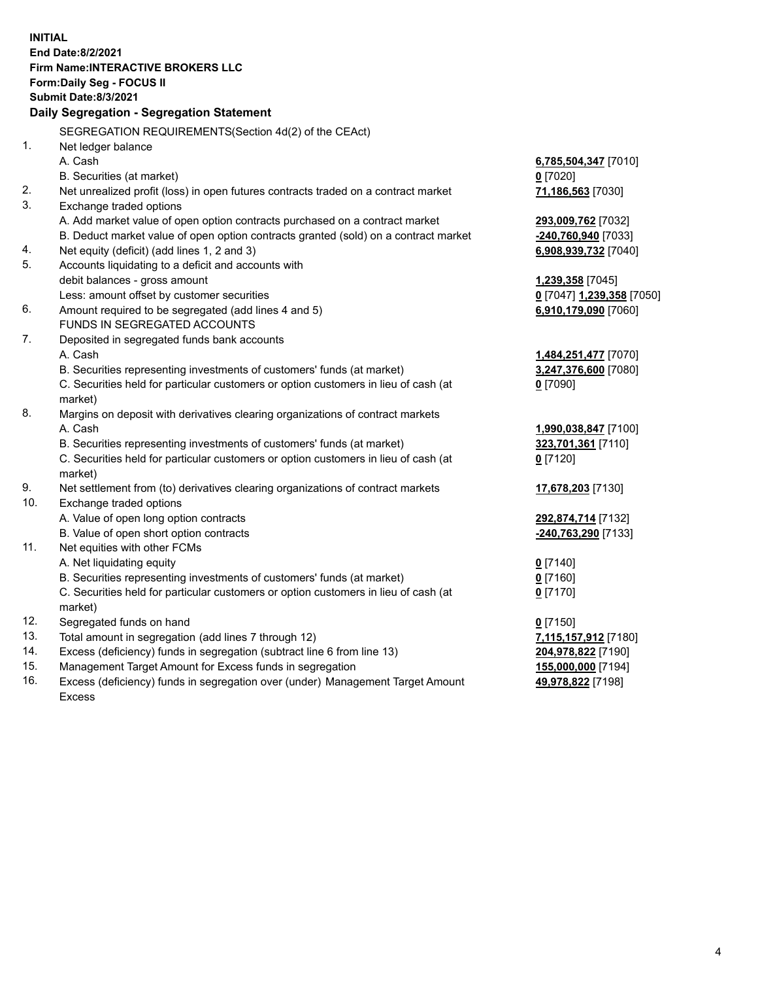**INITIAL End Date:8/2/2021 Firm Name:INTERACTIVE BROKERS LLC Form:Daily Seg - FOCUS II Submit Date:8/3/2021 Daily Segregation - Segregation Statement** SEGREGATION REQUIREMENTS(Section 4d(2) of the CEAct) 1. Net ledger balance A. Cash **6,785,504,347** [7010] B. Securities (at market) **0** [7020] 2. Net unrealized profit (loss) in open futures contracts traded on a contract market **71,186,563** [7030] 3. Exchange traded options A. Add market value of open option contracts purchased on a contract market **293,009,762** [7032] B. Deduct market value of open option contracts granted (sold) on a contract market **-240,760,940** [7033] 4. Net equity (deficit) (add lines 1, 2 and 3) **6,908,939,732** [7040] 5. Accounts liquidating to a deficit and accounts with debit balances - gross amount **1,239,358** [7045] Less: amount offset by customer securities **0** [7047] **1,239,358** [7050] 6. Amount required to be segregated (add lines 4 and 5) **6,910,179,090** [7060] FUNDS IN SEGREGATED ACCOUNTS 7. Deposited in segregated funds bank accounts A. Cash **1,484,251,477** [7070] B. Securities representing investments of customers' funds (at market) **3,247,376,600** [7080] C. Securities held for particular customers or option customers in lieu of cash (at market) **0** [7090] 8. Margins on deposit with derivatives clearing organizations of contract markets A. Cash **1,990,038,847** [7100] B. Securities representing investments of customers' funds (at market) **323,701,361** [7110] C. Securities held for particular customers or option customers in lieu of cash (at market) **0** [7120] 9. Net settlement from (to) derivatives clearing organizations of contract markets **17,678,203** [7130] 10. Exchange traded options A. Value of open long option contracts **292,874,714** [7132] B. Value of open short option contracts **-240,763,290** [7133] 11. Net equities with other FCMs A. Net liquidating equity **0** [7140] B. Securities representing investments of customers' funds (at market) **0** [7160] C. Securities held for particular customers or option customers in lieu of cash (at market) **0** [7170] 12. Segregated funds on hand **0** [7150] 13. Total amount in segregation (add lines 7 through 12) **7,115,157,912** [7180] 14. Excess (deficiency) funds in segregation (subtract line 6 from line 13) **204,978,822** [7190] 15. Management Target Amount for Excess funds in segregation **155,000,000** [7194]

16. Excess (deficiency) funds in segregation over (under) Management Target Amount Excess

**49,978,822** [7198]